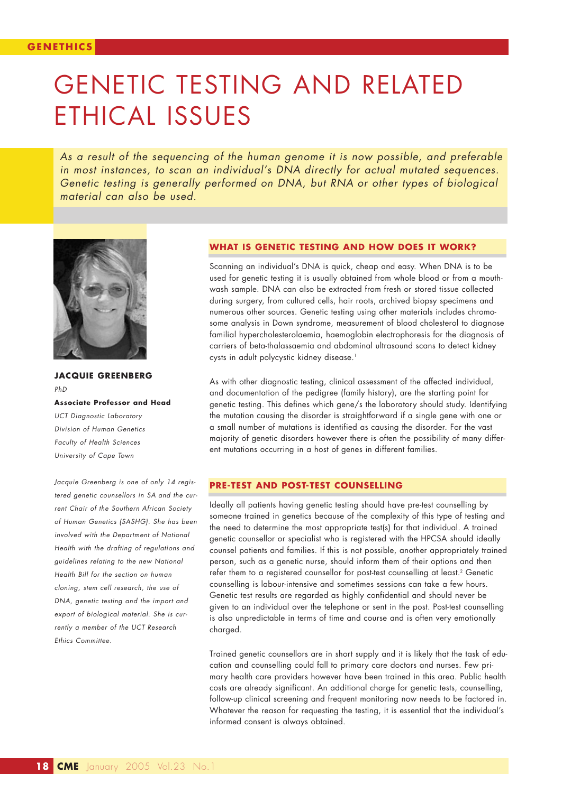# GENETIC TESTING AND RELATED ETHICAL ISSUES

*As a result of the sequencing of the human genome it is now possible, and preferable in most instances, to scan an individual's DNA directly for actual mutated sequences. Genetic testing is generally performed on DNA, but RNA or other types of biological material can also be used.*



**JACQUIE GREENBERG** *PhD*  **Associate Professor and Head** *UCT Diagnostic Laboratory Division of Human Genetics Faculty of Health Sciences*

*University of Cape Town* 

*Jacquie Greenberg is one of only 14 registered genetic counsellors in SA and the current Chair of the Southern African Society of Human Genetics (SASHG). She has been involved with the Department of National Health with the drafting of regulations and guidelines relating to the new National Health Bill for the section on human cloning, stem cell research, the use of DNA, genetic testing and the import and export of biological material. She is currently a member of the UCT Research Ethics Committee.*

#### **WHAT IS GENETIC TESTING AND HOW DOES IT WORK?**

Scanning an individual's DNA is quick, cheap and easy. When DNA is to be used for genetic testing it is usually obtained from whole blood or from a mouthwash sample. DNA can also be extracted from fresh or stored tissue collected during surgery, from cultured cells, hair roots, archived biopsy specimens and numerous other sources. Genetic testing using other materials includes chromosome analysis in Down syndrome, measurement of blood cholesterol to diagnose familial hypercholesterolaemia, haemoglobin electrophoresis for the diagnosis of carriers of beta-thalassaemia and abdominal ultrasound scans to detect kidney cysts in adult polycystic kidney disease.<sup>1</sup>

As with other diagnostic testing, clinical assessment of the affected individual, and documentation of the pedigree (family history), are the starting point for genetic testing. This defines which gene/s the laboratory should study. Identifying the mutation causing the disorder is straightforward if a single gene with one or a small number of mutations is identified as causing the disorder. For the vast majority of genetic disorders however there is often the possibility of many different mutations occurring in a host of genes in different families.

# **PRE-TEST AND POST-TEST COUNSELLING**

Ideally all patients having genetic testing should have pre-test counselling by someone trained in genetics because of the complexity of this type of testing and the need to determine the most appropriate test(s) for that individual. A trained genetic counsellor or specialist who is registered with the HPCSA should ideally counsel patients and families. If this is not possible, another appropriately trained person, such as a genetic nurse, should inform them of their options and then refer them to a registered counsellor for post-test counselling at least.<sup>2</sup> Genetic counselling is labour-intensive and sometimes sessions can take a few hours. Genetic test results are regarded as highly confidential and should never be given to an individual over the telephone or sent in the post. Post-test counselling is also unpredictable in terms of time and course and is often very emotionally charged.

Trained genetic counsellors are in short supply and it is likely that the task of education and counselling could fall to primary care doctors and nurses. Few primary health care providers however have been trained in this area. Public health costs are already significant. An additional charge for genetic tests, counselling, follow-up clinical screening and frequent monitoring now needs to be factored in. Whatever the reason for requesting the testing, it is essential that the individual's informed consent is always obtained.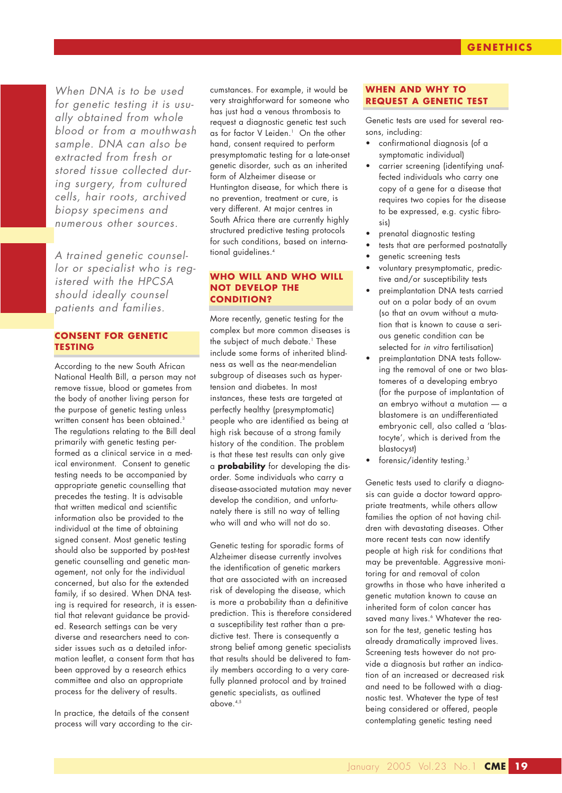*When DNA is to be used for genetic testing it is usually obtained from whole blood or from a mouthwash sample. DNA can also be extracted from fresh or stored tissue collected during surgery, from cultured cells, hair roots, archived biopsy specimens and numerous other sources.*

*A trained genetic counsellor or specialist who is registered with the HPCSA should ideally counsel patients and families.*

# **CONSENT FOR GENETIC TESTING**

According to the new South African National Health Bill, a person may not remove tissue, blood or gametes from the body of another living person for the purpose of genetic testing unless written consent has been obtained.<sup>3</sup> The regulations relating to the Bill deal primarily with genetic testing performed as a clinical service in a medical environment. Consent to genetic testing needs to be accompanied by appropriate genetic counselling that precedes the testing. It is advisable that written medical and scientific information also be provided to the individual at the time of obtaining signed consent. Most genetic testing should also be supported by post-test genetic counselling and genetic management, not only for the individual concerned, but also for the extended family, if so desired. When DNA testing is required for research, it is essential that relevant guidance be provided. Research settings can be very diverse and researchers need to consider issues such as a detailed information leaflet, a consent form that has been approved by a research ethics committee and also an appropriate process for the delivery of results.

In practice, the details of the consent process will vary according to the circumstances. For example, it would be very straightforward for someone who has just had a venous thrombosis to request a diagnostic genetic test such as for factor V Leiden.<sup>1</sup> On the other hand, consent required to perform presymptomatic testing for a late-onset genetic disorder, such as an inherited form of Alzheimer disease or Huntington disease, for which there is no prevention, treatment or cure, is very different. At major centres in South Africa there are currently highly structured predictive testing protocols for such conditions, based on international guidelines.4

# **WHO WILL AND WHO WILL NOT DEVELOP THE CONDITION?**

More recently, genetic testing for the complex but more common diseases is the subject of much debate.<sup>1</sup> These include some forms of inherited blindness as well as the near-mendelian subgroup of diseases such as hypertension and diabetes. In most instances, these tests are targeted at perfectly healthy (presymptomatic) people who are identified as being at high risk because of a strong family history of the condition. The problem is that these test results can only give a **probability** for developing the disorder. Some individuals who carry a disease-associated mutation may never develop the condition, and unfortunately there is still no way of telling who will and who will not do so.

Genetic testing for sporadic forms of Alzheimer disease currently involves the identification of genetic markers that are associated with an increased risk of developing the disease, which is more a probability than a definitive prediction. This is therefore considered a susceptibility test rather than a predictive test. There is consequently a strong belief among genetic specialists that results should be delivered to family members according to a very carefully planned protocol and by trained genetic specialists, as outlined above.4,5

# **WHEN AND WHY TO REQUEST A GENETIC TEST**

Genetic tests are used for several reasons, including:

- confirmational diagnosis (of a symptomatic individual)
- carrier screening (identifying unaffected individuals who carry one copy of a gene for a disease that requires two copies for the disease to be expressed, e.g. cystic fibrosis)
- prenatal diagnostic testing
- tests that are performed postnatally
- genetic screening tests
- voluntary presymptomatic, predictive and/or susceptibility tests
- preimplantation DNA tests carried out on a polar body of an ovum (so that an ovum without a mutation that is known to cause a serious genetic condition can be selected for *in vitro* fertilisation)
- preimplantation DNA tests following the removal of one or two blastomeres of a developing embryo (for the purpose of implantation of an embryo without a mutation — a blastomere is an undifferentiated embryonic cell, also called a 'blastocyte', which is derived from the blastocyst)
- forensic/identity testing.<sup>3</sup>

Genetic tests used to clarify a diagnosis can guide a doctor toward appropriate treatments, while others allow families the option of not having children with devastating diseases. Other more recent tests can now identify people at high risk for conditions that may be preventable. Aggressive monitoring for and removal of colon growths in those who have inherited a genetic mutation known to cause an inherited form of colon cancer has saved many lives.<sup>6</sup> Whatever the reason for the test, genetic testing has already dramatically improved lives. Screening tests however do not provide a diagnosis but rather an indication of an increased or decreased risk and need to be followed with a diagnostic test. Whatever the type of test being considered or offered, people contemplating genetic testing need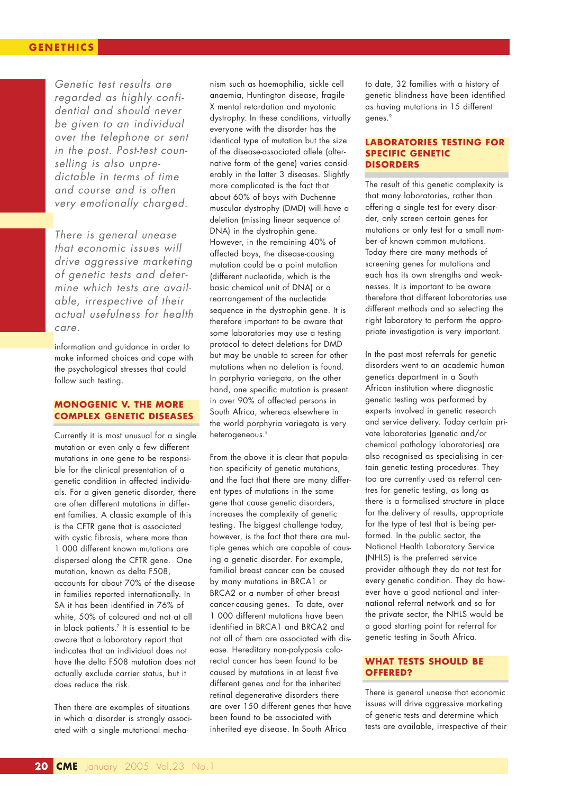# **GENETHICS**

*Genetic test results are regarded as highly confidential and should never be given to an individual over the telephone or sent in the post. Post-test counselling is also unpredictable in terms of time and course and is often very emotionally charged.* 

*There is general unease that economic issues will drive aggressive marketing of genetic tests and determine which tests are available, irrespective of their actual usefulness for health care.*

information and guidance in order to make informed choices and cope with the psychological stresses that could follow such testing.

# **MONOGENIC V. THE MORE COMPLEX GENETIC DISEASES**

Currently it is most unusual for a single mutation or even only a few different mutations in one gene to be responsible for the clinical presentation of a genetic condition in affected individuals. For a given genetic disorder, there are often different mutations in different families. A classic example of this is the CFTR gene that is associated with cystic fibrosis, where more than 1 000 different known mutations are dispersed along the CFTR gene. One mutation, known as delta F508, accounts for about 70% of the disease in families reported internationally. In SA it has been identified in 76% of white, 50% of coloured and not at all in black patients. $^7$  It is essential to be aware that a laboratory report that indicates that an individual does not have the delta F508 mutation does not actually exclude carrier status, but it does reduce the risk.

Then there are examples of situations in which a disorder is strongly associated with a single mutational mechanism such as haemophilia, sickle cell anaemia, Huntington disease, fragile X mental retardation and myotonic dystrophy. In these conditions, virtually everyone with the disorder has the identical type of mutation but the size of the disease-associated allele (alternative form of the gene) varies considerably in the latter 3 diseases. Slightly more complicated is the fact that about 60% of boys with Duchenne muscular dystrophy (DMD) will have a deletion (missing linear sequence of DNA) in the dystrophin gene. However, in the remaining 40% of affected boys, the disease-causing mutation could be a point mutation (different nucleotide, which is the basic chemical unit of DNA) or a rearrangement of the nucleotide sequence in the dystrophin gene. It is therefore important to be aware that some laboratories may use a testing protocol to detect deletions for DMD but may be unable to screen for other mutations when no deletion is found. In porphyria variegata, on the other hand, one specific mutation is present in over 90% of affected persons in South Africa, whereas elsewhere in the world porphyria variegata is very heterogeneous.<sup>8</sup>

From the above it is clear that population specificity of genetic mutations, and the fact that there are many different types of mutations in the same gene that cause genetic disorders, increases the complexity of genetic testing. The biggest challenge today, however, is the fact that there are multiple genes which are capable of causing a genetic disorder. For example, familial breast cancer can be caused by many mutations in BRCA1 or BRCA2 or a number of other breast cancer-causing genes. To date, over 1 000 different mutations have been identified in BRCA1 and BRCA2 and not all of them are associated with disease. Hereditary non-polyposis colorectal cancer has been found to be caused by mutations in at least five different genes and for the inherited retinal degenerative disorders there are over 150 different genes that have been found to be associated with inherited eye disease. In South Africa

to date, 32 families with a history of genetic blindness have been identified as having mutations in 15 different genes.<sup>9</sup>

#### **LABORATORIES TESTING FOR SPECIFIC GENETIC DISORDERS**

The result of this genetic complexity is that many laboratories, rather than offering a single test for every disorder, only screen certain genes for mutations or only test for a small number of known common mutations. Today there are many methods of screening genes for mutations and each has its own strengths and weaknesses. It is important to be aware therefore that different laboratories use different methods and so selecting the right laboratory to perform the appropriate investigation is very important.

In the past most referrals for genetic disorders went to an academic human genetics department in a South African institution where diagnostic genetic testing was performed by experts involved in genetic research and service delivery. Today certain private laboratories (genetic and/or chemical pathology laboratories) are also recognised as specialising in certain genetic testing procedures. They too are currently used as referral centres for genetic testing, as long as there is a formalised structure in place for the delivery of results, appropriate for the type of test that is being performed. In the public sector, the National Health Laboratory Service (NHLS) is the preferred service provider although they do not test for every genetic condition. They do however have a good national and international referral network and so for the private sector, the NHLS would be a good starting point for referral for genetic testing in South Africa.

### **WHAT TESTS SHOULD BE OFFERED?**

There is general unease that economic issues will drive aggressive marketing of genetic tests and determine which tests are available, irrespective of their